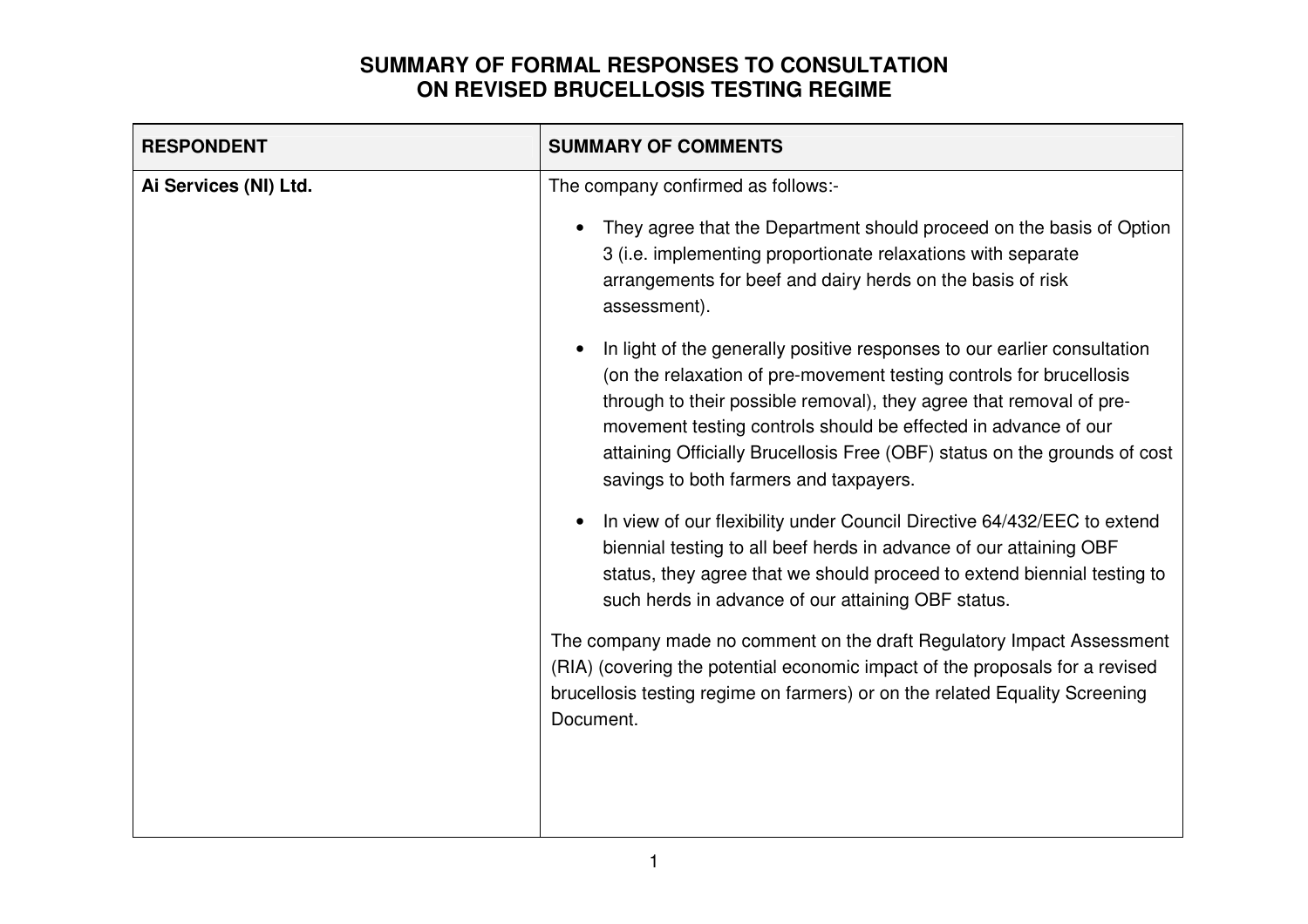| They agree that the Department should proceed on the basis of Option<br>3 (i.e. implementing proportionate relaxations with separate<br>arrangements for beef and dairy herds on the basis of risk                                                                                                                                                                    |
|-----------------------------------------------------------------------------------------------------------------------------------------------------------------------------------------------------------------------------------------------------------------------------------------------------------------------------------------------------------------------|
| In light of the generally positive responses to our earlier consultation<br>(on the relaxation of pre-movement testing controls for brucellosis<br>through to their possible removal), they agree that removal of pre-<br>movement testing controls should be effected in advance of our<br>attaining Officially Brucellosis Free (OBF) status on the grounds of cost |
| In view of our flexibility under Council Directive 64/432/EEC to extend<br>biennial testing to all beef herds in advance of our attaining OBF<br>status, they agree that we should proceed to extend biennial testing to<br>such herds in advance of our attaining OBF status.                                                                                        |
| The company made no comment on the draft Regulatory Impact Assessment<br>(RIA) (covering the potential economic impact of the proposals for a revised<br>brucellosis testing regime on farmers) or on the related Equality Screening                                                                                                                                  |
|                                                                                                                                                                                                                                                                                                                                                                       |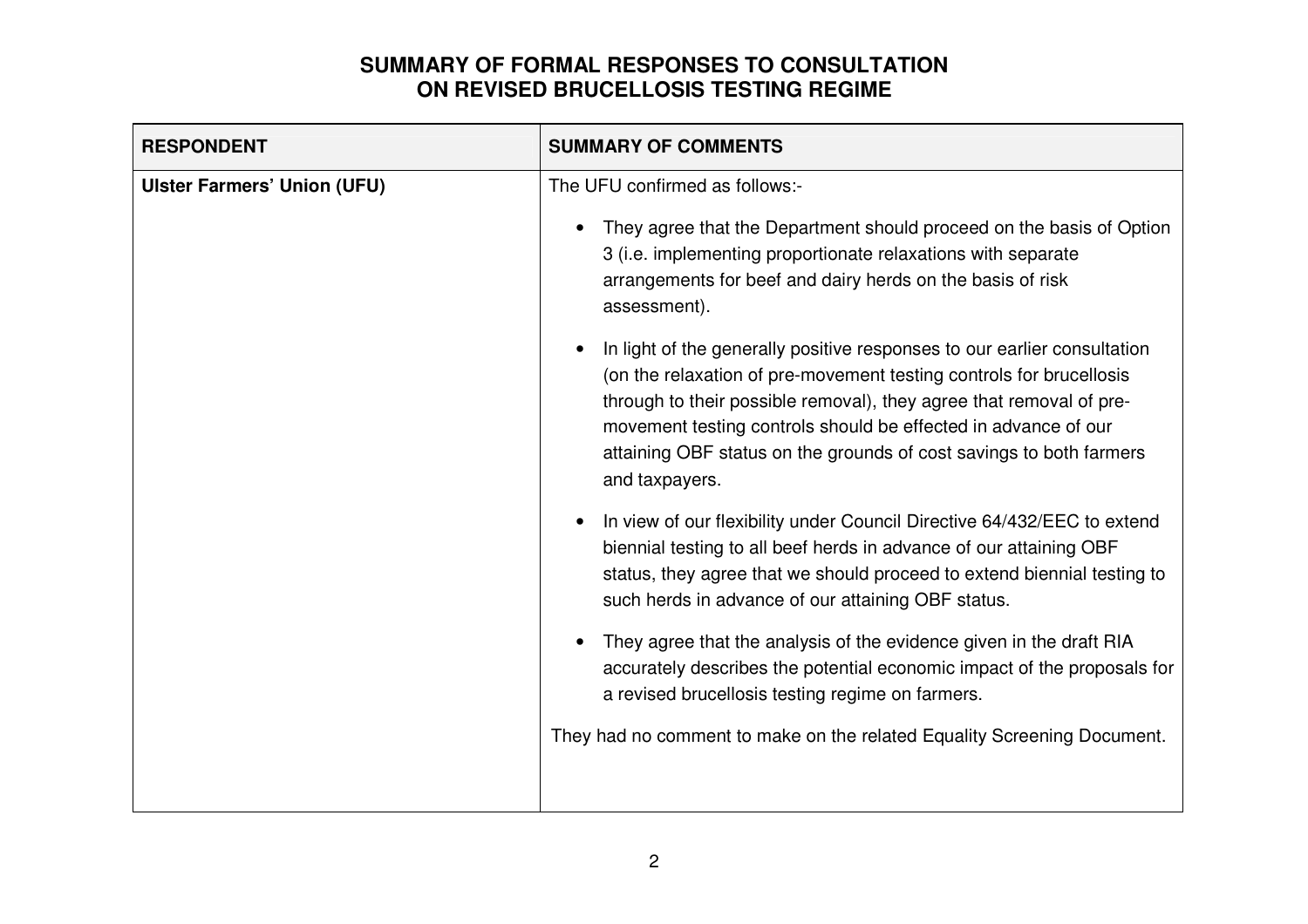| <b>RESPONDENT</b>                  | <b>SUMMARY OF COMMENTS</b>                                                                                                                                                                                                                                                                                                                                                                                                                                                                                                                                                                                                                                                                                                                                                                                                                                                                                                                                                                                                                                                                                                                                                                                   |
|------------------------------------|--------------------------------------------------------------------------------------------------------------------------------------------------------------------------------------------------------------------------------------------------------------------------------------------------------------------------------------------------------------------------------------------------------------------------------------------------------------------------------------------------------------------------------------------------------------------------------------------------------------------------------------------------------------------------------------------------------------------------------------------------------------------------------------------------------------------------------------------------------------------------------------------------------------------------------------------------------------------------------------------------------------------------------------------------------------------------------------------------------------------------------------------------------------------------------------------------------------|
| <b>Ulster Farmers' Union (UFU)</b> | The UFU confirmed as follows:-<br>They agree that the Department should proceed on the basis of Option<br>3 (i.e. implementing proportionate relaxations with separate<br>arrangements for beef and dairy herds on the basis of risk<br>assessment).<br>In light of the generally positive responses to our earlier consultation<br>(on the relaxation of pre-movement testing controls for brucellosis<br>through to their possible removal), they agree that removal of pre-<br>movement testing controls should be effected in advance of our<br>attaining OBF status on the grounds of cost savings to both farmers<br>and taxpayers.<br>In view of our flexibility under Council Directive 64/432/EEC to extend<br>biennial testing to all beef herds in advance of our attaining OBF<br>status, they agree that we should proceed to extend biennial testing to<br>such herds in advance of our attaining OBF status.<br>They agree that the analysis of the evidence given in the draft RIA<br>accurately describes the potential economic impact of the proposals for<br>a revised brucellosis testing regime on farmers.<br>They had no comment to make on the related Equality Screening Document. |
|                                    |                                                                                                                                                                                                                                                                                                                                                                                                                                                                                                                                                                                                                                                                                                                                                                                                                                                                                                                                                                                                                                                                                                                                                                                                              |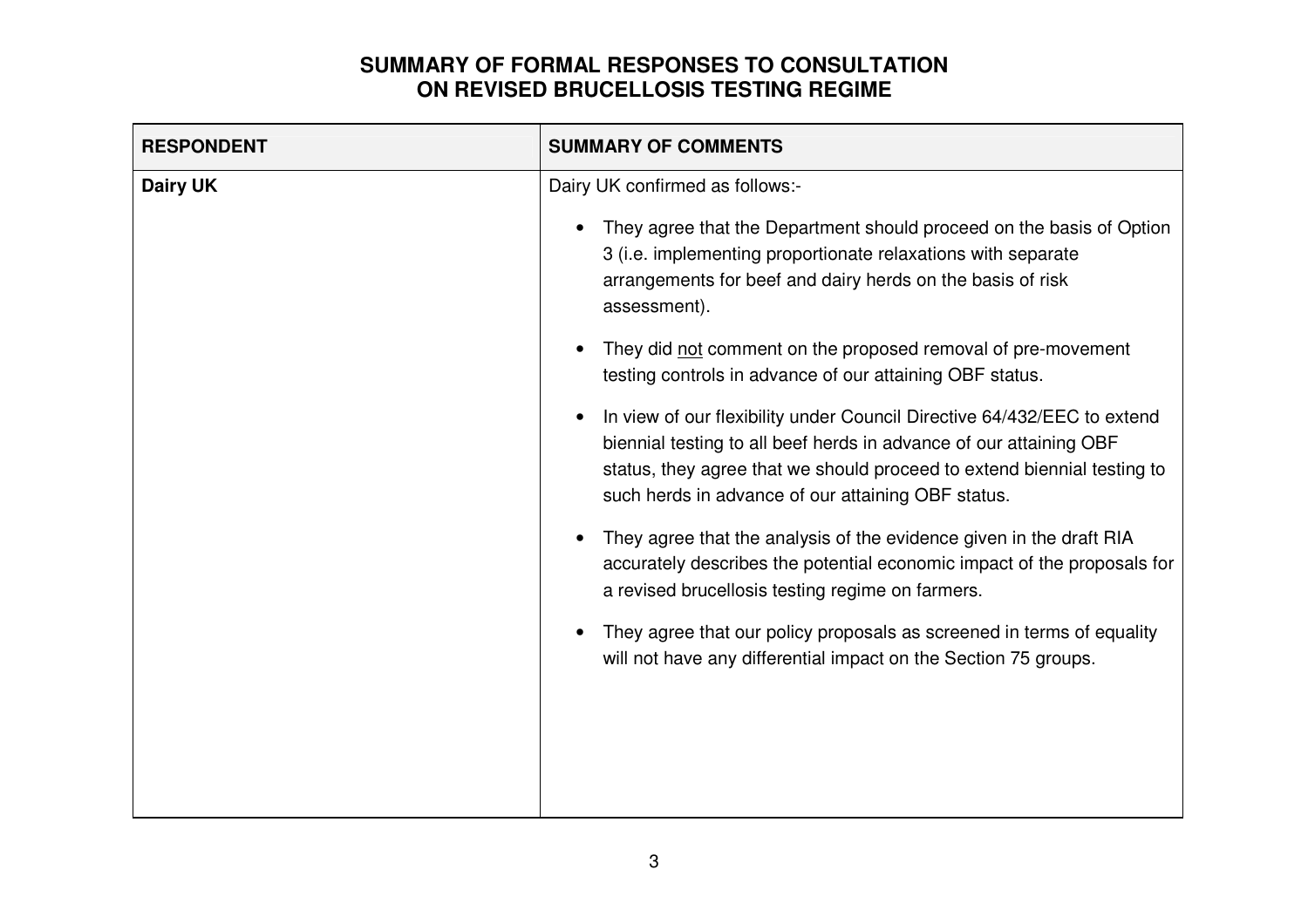| <b>RESPONDENT</b> | <b>SUMMARY OF COMMENTS</b>                                                                                                                                                                                                                                                                                                                                                                                                                                                                                                                                                                                                                                                                                                                                                                                                                                                                                                                                                                                            |
|-------------------|-----------------------------------------------------------------------------------------------------------------------------------------------------------------------------------------------------------------------------------------------------------------------------------------------------------------------------------------------------------------------------------------------------------------------------------------------------------------------------------------------------------------------------------------------------------------------------------------------------------------------------------------------------------------------------------------------------------------------------------------------------------------------------------------------------------------------------------------------------------------------------------------------------------------------------------------------------------------------------------------------------------------------|
| Dairy UK          | Dairy UK confirmed as follows:-<br>They agree that the Department should proceed on the basis of Option<br>3 (i.e. implementing proportionate relaxations with separate<br>arrangements for beef and dairy herds on the basis of risk<br>assessment).<br>They did not comment on the proposed removal of pre-movement<br>testing controls in advance of our attaining OBF status.<br>In view of our flexibility under Council Directive 64/432/EEC to extend<br>biennial testing to all beef herds in advance of our attaining OBF<br>status, they agree that we should proceed to extend biennial testing to<br>such herds in advance of our attaining OBF status.<br>They agree that the analysis of the evidence given in the draft RIA<br>accurately describes the potential economic impact of the proposals for<br>a revised brucellosis testing regime on farmers.<br>They agree that our policy proposals as screened in terms of equality<br>will not have any differential impact on the Section 75 groups. |
|                   |                                                                                                                                                                                                                                                                                                                                                                                                                                                                                                                                                                                                                                                                                                                                                                                                                                                                                                                                                                                                                       |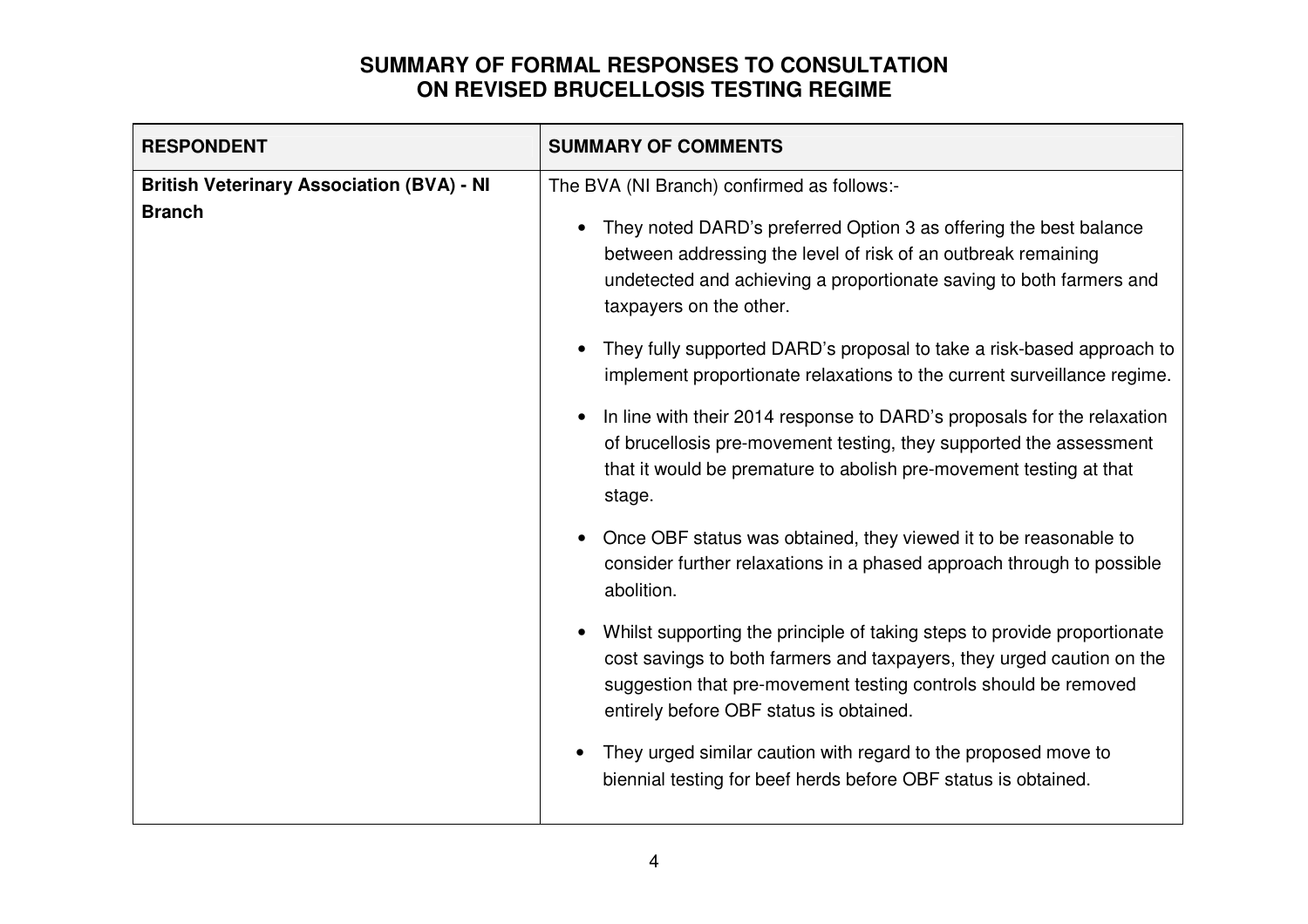| <b>RESPONDENT</b>                                                 | <b>SUMMARY OF COMMENTS</b>                                                                                                                                                                                                                                                                                                                                                                                                                                                                                                                                                                                                                                                                                                                                                                                                                                                                                                                                                                                                                                                                                                                                                                                                                |
|-------------------------------------------------------------------|-------------------------------------------------------------------------------------------------------------------------------------------------------------------------------------------------------------------------------------------------------------------------------------------------------------------------------------------------------------------------------------------------------------------------------------------------------------------------------------------------------------------------------------------------------------------------------------------------------------------------------------------------------------------------------------------------------------------------------------------------------------------------------------------------------------------------------------------------------------------------------------------------------------------------------------------------------------------------------------------------------------------------------------------------------------------------------------------------------------------------------------------------------------------------------------------------------------------------------------------|
| <b>British Veterinary Association (BVA) - NI</b><br><b>Branch</b> | The BVA (NI Branch) confirmed as follows:-<br>They noted DARD's preferred Option 3 as offering the best balance<br>between addressing the level of risk of an outbreak remaining<br>undetected and achieving a proportionate saving to both farmers and<br>taxpayers on the other.<br>They fully supported DARD's proposal to take a risk-based approach to<br>implement proportionate relaxations to the current surveillance regime.<br>In line with their 2014 response to DARD's proposals for the relaxation<br>of brucellosis pre-movement testing, they supported the assessment<br>that it would be premature to abolish pre-movement testing at that<br>stage.<br>Once OBF status was obtained, they viewed it to be reasonable to<br>consider further relaxations in a phased approach through to possible<br>abolition.<br>Whilst supporting the principle of taking steps to provide proportionate<br>cost savings to both farmers and taxpayers, they urged caution on the<br>suggestion that pre-movement testing controls should be removed<br>entirely before OBF status is obtained.<br>They urged similar caution with regard to the proposed move to<br>biennial testing for beef herds before OBF status is obtained. |
|                                                                   |                                                                                                                                                                                                                                                                                                                                                                                                                                                                                                                                                                                                                                                                                                                                                                                                                                                                                                                                                                                                                                                                                                                                                                                                                                           |